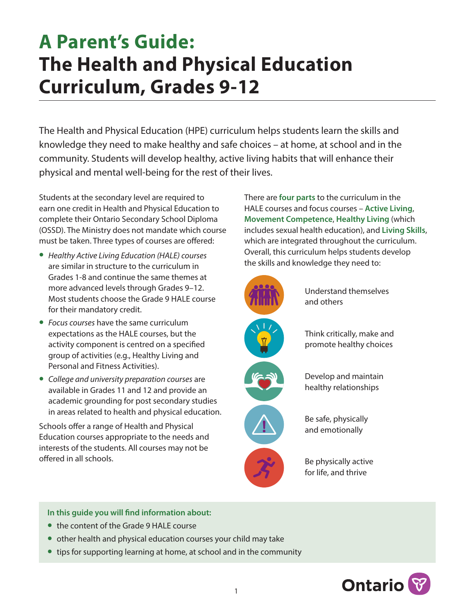# **A Parent's Guide: The Health and Physical Education Curriculum, Grades 9-12**

The Health and Physical Education (HPE) curriculum helps students learn the skills and knowledge they need to make healthy and safe choices – at home, at school and in the community. Students will develop healthy, active living habits that will enhance their physical and mental well-being for the rest of their lives.

Students at the secondary level are required to earn one credit in Health and Physical Education to complete their Ontario Secondary School Diploma (OSSD). The Ministry does not mandate which course must be taken. Three types of courses are offered:

- **•** *Healthy Active Living Education (HALE) courses*  are similar in structure to the curriculum in Grades 1-8 and continue the same themes at more advanced levels through Grades 9–12. Most students choose the Grade 9 HALE course for their mandatory credit.
- **•** *Focus courses* have the same curriculum expectations as the HALE courses, but the activity component is centred on a specified group of activities (e.g., Healthy Living and Personal and Fitness Activities).
- **•** *College and university preparation courses* are available in Grades 11 and 12 and provide an academic grounding for post secondary studies in areas related to health and physical education.

Schools offer a range of Health and Physical Education courses appropriate to the needs and interests of the students. All courses may not be offered in all schools.

There are **four parts** to the curriculum in the HALE courses and focus courses – **Active Living**, **Movement Competence**, **Healthy Living** (which includes sexual health education), and **Living Skills**, which are integrated throughout the curriculum. Overall, this curriculum helps students develop the skills and knowledge they need to:



Understand themselves and others

Think critically, make and promote healthy choices



Develop and maintain healthy relationships



Be safe, physically and emotionally

Be physically active for life, and thrive

**In this guide you will find information about:**

- **•** the content of the Grade 9 HALE course
- **•** other health and physical education courses your child may take
- **•** tips for supporting learning at home, at school and in the community

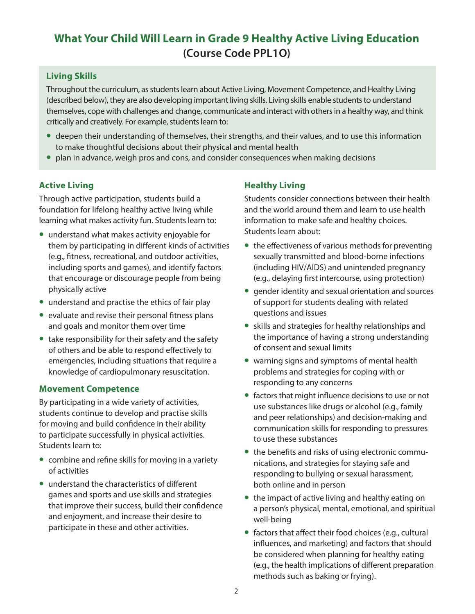# **What Your Child Will Learn in Grade 9 Healthy Active Living Education (Course Code PPL1O)**

## **Living Skills**

Throughout the curriculum, as students learn about Active Living, Movement Competence, and Healthy Living (described below), they are also developing important living skills. Living skills enable students to understand themselves, cope with challenges and change, communicate and interact with others in a healthy way, and think critically and creatively. For example, students learn to:

- **•** deepen their understanding of themselves, their strengths, and their values, and to use this information to make thoughtful decisions about their physical and mental health
- **•** plan in advance, weigh pros and cons, and consider consequences when making decisions

#### **Active Living**

Through active participation, students build a foundation for lifelong healthy active living while learning what makes activity fun. Students learn to:

- **•** understand what makes activity enjoyable for them by participating in different kinds of activities (e.g., fitness, recreational, and outdoor activities, including sports and games), and identify factors that encourage or discourage people from being physically active
- **•** understand and practise the ethics of fair play
- **•** evaluate and revise their personal fitness plans and goals and monitor them over time
- **•** take responsibility for their safety and the safety of others and be able to respond effectively to emergencies, including situations that require a knowledge of cardiopulmonary resuscitation.

#### **Movement Competence**

By participating in a wide variety of activities, students continue to develop and practise skills for moving and build confidence in their ability to participate successfully in physical activities. Students learn to:

- **•** combine and refine skills for moving in a variety of activities
- **•** understand the characteristics of different games and sports and use skills and strategies that improve their success, build their confidence and enjoyment, and increase their desire to participate in these and other activities.

## **Healthy Living**

Students consider connections between their health and the world around them and learn to use health information to make safe and healthy choices. Students learn about:

- **•** the effectiveness of various methods for preventing sexually transmitted and blood-borne infections (including HIV/AIDS) and unintended pregnancy (e.g., delaying first intercourse, using protection)
- **•** gender identity and sexual orientation and sources of support for students dealing with related questions and issues
- **•** skills and strategies for healthy relationships and the importance of having a strong understanding of consent and sexual limits
- **•** warning signs and symptoms of mental health problems and strategies for coping with or responding to any concerns
- **•** factors that might influence decisions to use or not use substances like drugs or alcohol (e.g., family and peer relationships) and decision-making and communication skills for responding to pressures to use these substances
- **•** the benefits and risks of using electronic communications, and strategies for staying safe and responding to bullying or sexual harassment, both online and in person
- **•** the impact of active living and healthy eating on a person's physical, mental, emotional, and spiritual well-being
- **•** factors that affect their food choices (e.g., cultural influences, and marketing) and factors that should be considered when planning for healthy eating (e.g., the health implications of different preparation methods such as baking or frying).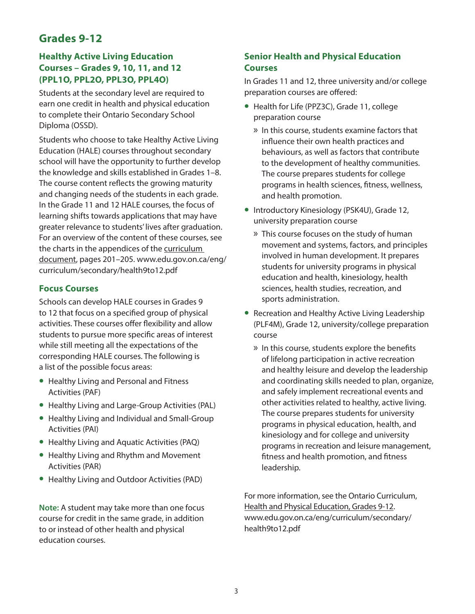# **Grades 9-12**

#### **Healthy Active Living Education Courses – Grades 9, 10, 11, and 12 (PPL1O, PPL2O, PPL3O, PPL4O)**

Students at the secondary level are required to earn one credit in health and physical education to complete their Ontario Secondary School Diploma (OSSD).

Students who choose to take Healthy Active Living Education (HALE) courses throughout secondary school will have the opportunity to further develop the knowledge and skills established in Grades 1–8. The course content reflects the growing maturity and changing needs of the students in each grade. In the Grade 11 and 12 HALE courses, the focus of learning shifts towards applications that may have greater relevance to students' lives after graduation. For an overview of the content of these courses, see the charts in the appendices of the [curriculum](http://www.edu.gov.on.ca/eng/curriculum/secondary/health9to12.pdf)  [document,](http://www.edu.gov.on.ca/eng/curriculum/secondary/health9to12.pdf) pages 201–205. www.edu.gov.on.ca/eng/ curriculum/secondary/health9to12.pdf

#### **Focus Courses**

Schools can develop HALE courses in Grades 9 to 12 that focus on a specified group of physical activities. These courses offer flexibility and allow students to pursue more specific areas of interest while still meeting all the expectations of the corresponding HALE courses. The following is a list of the possible focus areas:

- **•** Healthy Living and Personal and Fitness Activities (PAF)
- **•** Healthy Living and Large-Group Activities (PAL)
- **•** Healthy Living and Individual and Small-Group Activities (PAI)
- **•** Healthy Living and Aquatic Activities (PAQ)
- **•** Healthy Living and Rhythm and Movement Activities (PAR)
- **•** Healthy Living and Outdoor Activities (PAD)

**Note:** A student may take more than one focus course for credit in the same grade, in addition to or instead of other health and physical education courses.

## **Senior Health and Physical Education Courses**

In Grades 11 and 12, three university and/or college preparation courses are offered:

- **•** Health for Life (PPZ3C), Grade 11, college preparation course
	- » In this course, students examine factors that influence their own health practices and behaviours, as well as factors that contribute to the development of healthy communities. The course prepares students for college programs in health sciences, fitness, wellness, and health promotion.
- **•** Introductory Kinesiology (PSK4U), Grade 12, university preparation course
	- » This course focuses on the study of human movement and systems, factors, and principles involved in human development. It prepares students for university programs in physical education and health, kinesiology, health sciences, health studies, recreation, and sports administration.
- **•** Recreation and Healthy Active Living Leadership (PLF4M), Grade 12, university/college preparation course
	- » In this course, students explore the benefits of lifelong participation in active recreation and healthy leisure and develop the leadership and coordinating skills needed to plan, organize, and safely implement recreational events and other activities related to healthy, active living. The course prepares students for university programs in physical education, health, and kinesiology and for college and university programs in recreation and leisure management, fitness and health promotion, and fitness leadership.

For more information, see the Ontario Curriculum, [Health and Physical Education, Grades 9-12](http://www.edu.gov.on.ca/eng/curriculum/secondary/health9to12.pdf). www.edu.gov.on.ca/eng/curriculum/secondary/ health9to12.pdf